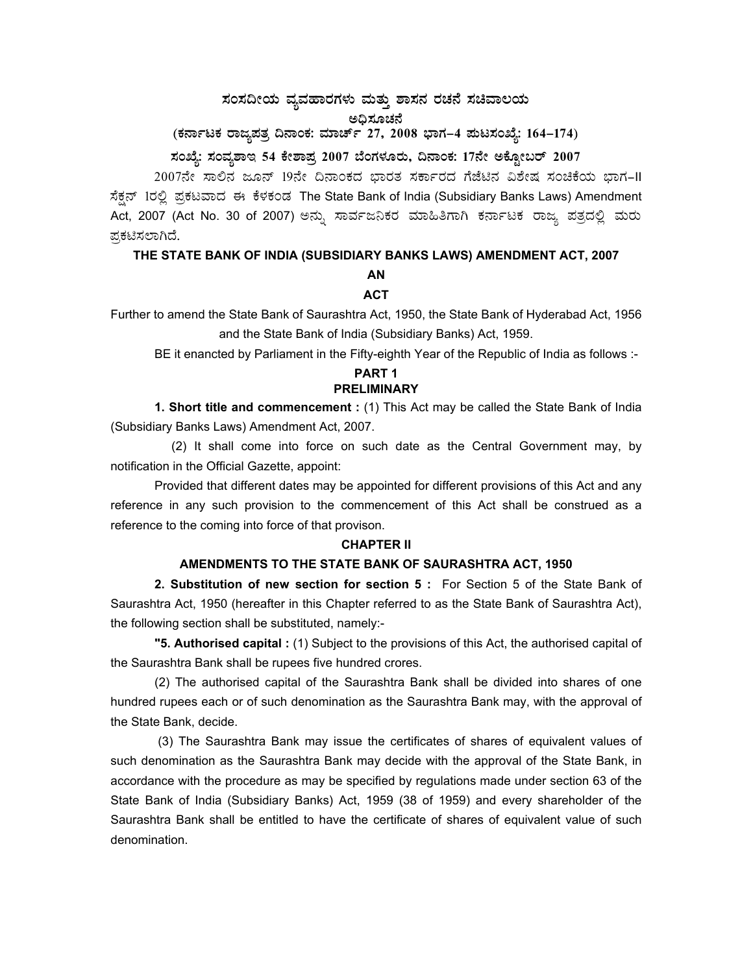# $\,$ ಸಂಸದೀಯ ವ್ಯವಹಾರಗಳು ಮತ್ತು ಶಾಸನ ರಚನೆ ಸಚಿವಾಲಯ ಅಧಿಸೂಚನೆ

# (ಕರ್ನಾಟಕ ರಾಜ್ಯಪತ್ರ ದಿನಾಂಕ: ಮಾರ್ಚ್ 27, 2008 ಭಾಗ–4 **ಮಟಸಂಖ್ಯೆ: 164–174**)

# **¸ÀASÉå: ¸ÀAªÀå±ÁE 54 PÉñÁ¥Àæ 2007 ¨ÉAUÀ¼ÀÆgÀÄ, ¢£ÁAPÀ: 17£Éà CPÉÆÖçgï 2007**

2007ನೇ ಸಾಲಿನ ಜೂನ್ 19ನೇ ದಿನಾಂಕದ ಭಾರತ ಸರ್ಕಾರದ ಗೆಜೆಟಿನ ವಿಶೇಷ ಸಂಚಿಕೆಯ ಭಾಗ–II ಸೆಕ್ಷನ್ 1ರಲ್ಲಿ ಪ್ರಕಟವಾದ ಈ ಕೆಳಕಂಡ The State Bank of India (Subsidiary Banks Laws) Amendment Act, 2007 (Act No. 30 of 2007) ಅನ್ನು ಸಾರ್ವಜನಿಕರ ಮಾಹಿತಿಗಾಗಿ ಕರ್ನಾಟಕ ರಾಜ್ಯ ಪತ್ರದಲ್ಲಿ ಮರು ಪ್ರಕಟಿಸಲಾಗಿದೆ.

## **THE STATE BANK OF INDIA (SUBSIDIARY BANKS LAWS) AMENDMENT ACT, 2007**

## **AN**

## **ACT**

Further to amend the State Bank of Saurashtra Act, 1950, the State Bank of Hyderabad Act, 1956 and the State Bank of India (Subsidiary Banks) Act, 1959.

BE it enancted by Parliament in the Fifty-eighth Year of the Republic of India as follows :-

## **PART 1 PRELIMINARY**

**1. Short title and commencement :** (1) This Act may be called the State Bank of India (Subsidiary Banks Laws) Amendment Act, 2007.

 (2) It shall come into force on such date as the Central Government may, by notification in the Official Gazette, appoint:

 Provided that different dates may be appointed for different provisions of this Act and any reference in any such provision to the commencement of this Act shall be construed as a reference to the coming into force of that provison.

## **CHAPTER II**

#### **AMENDMENTS TO THE STATE BANK OF SAURASHTRA ACT, 1950**

**2. Substitution of new section for section 5 :** For Section 5 of the State Bank of Saurashtra Act, 1950 (hereafter in this Chapter referred to as the State Bank of Saurashtra Act), the following section shall be substituted, namely:-

 **"5. Authorised capital :** (1) Subject to the provisions of this Act, the authorised capital of the Saurashtra Bank shall be rupees five hundred crores.

 (2) The authorised capital of the Saurashtra Bank shall be divided into shares of one hundred rupees each or of such denomination as the Saurashtra Bank may, with the approval of the State Bank, decide.

 (3) The Saurashtra Bank may issue the certificates of shares of equivalent values of such denomination as the Saurashtra Bank may decide with the approval of the State Bank, in accordance with the procedure as may be specified by regulations made under section 63 of the State Bank of India (Subsidiary Banks) Act, 1959 (38 of 1959) and every shareholder of the Saurashtra Bank shall be entitled to have the certificate of shares of equivalent value of such denomination.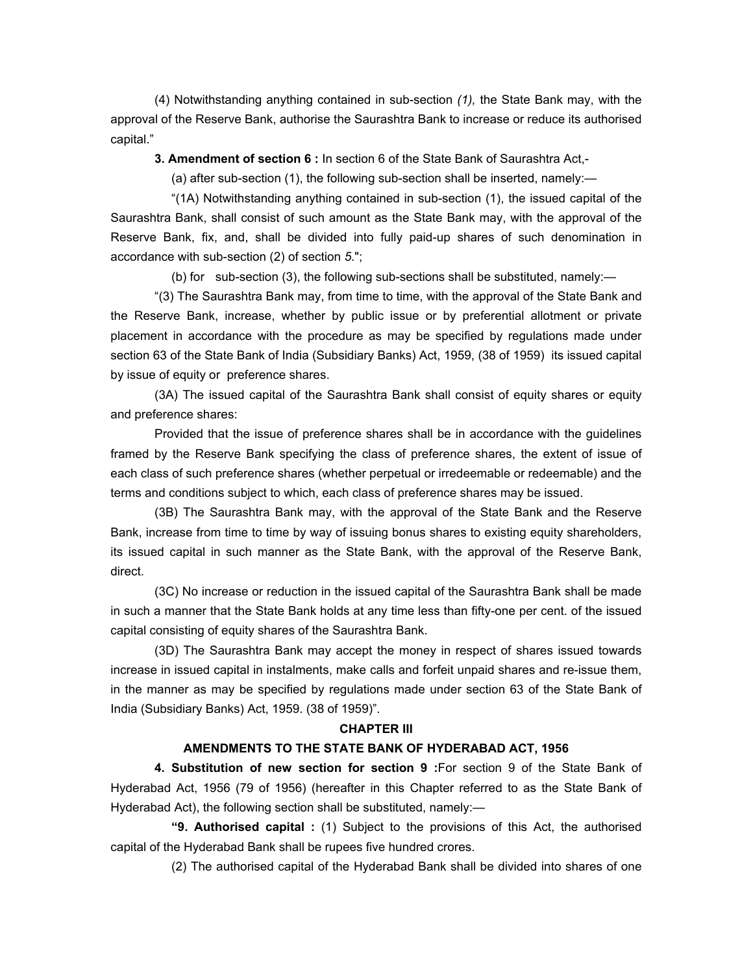(4) Notwithstanding anything contained in sub-section *(1),* the State Bank may, with the approval of the Reserve Bank, authorise the Saurashtra Bank to increase or reduce its authorised capital."

 **3. Amendment of section 6 :** In section 6 of the State Bank of Saurashtra Act,-

(a) after sub-section (1), the following sub-section shall be inserted, namely:—

 "(1A) Notwithstanding anything contained in sub-section (1), the issued capital of the Saurashtra Bank, shall consist of such amount as the State Bank may, with the approval of the Reserve Bank, fix, and, shall be divided into fully paid-up shares of such denomination in accordance with sub-section (2) of section *5*.";

(b) for sub-section (3), the following sub-sections shall be substituted, namely:—

 "(3) The Saurashtra Bank may, from time to time, with the approval of the State Bank and the Reserve Bank, increase, whether by public issue or by preferential allotment or private placement in accordance with the procedure as may be specified by regulations made under section 63 of the State Bank of India (Subsidiary Banks) Act, 1959, (38 of 1959) its issued capital by issue of equity or preference shares.

 (3A) The issued capital of the Saurashtra Bank shall consist of equity shares or equity and preference shares:

 Provided that the issue of preference shares shall be in accordance with the guidelines framed by the Reserve Bank specifying the class of preference shares, the extent of issue of each class of such preference shares (whether perpetual or irredeemable or redeemable) and the terms and conditions subject to which, each class of preference shares may be issued.

 (3B) The Saurashtra Bank may, with the approval of the State Bank and the Reserve Bank, increase from time to time by way of issuing bonus shares to existing equity shareholders, its issued capital in such manner as the State Bank, with the approval of the Reserve Bank, direct.

 (3C) No increase or reduction in the issued capital of the Saurashtra Bank shall be made in such a manner that the State Bank holds at any time less than fifty-one per cent. of the issued capital consisting of equity shares of the Saurashtra Bank.

 (3D) The Saurashtra Bank may accept the money in respect of shares issued towards increase in issued capital in instalments, make calls and forfeit unpaid shares and re-issue them, in the manner as may be specified by regulations made under section 63 of the State Bank of India (Subsidiary Banks) Act, 1959. (38 of 1959)".

#### **CHAPTER III**

#### **AMENDMENTS TO THE STATE BANK OF HYDERABAD ACT, 1956**

 **4. Substitution of new section for section 9 :**For section 9 of the State Bank of Hyderabad Act, 1956 (79 of 1956) (hereafter in this Chapter referred to as the State Bank of Hyderabad Act), the following section shall be substituted, namely:—

 **"9. Authorised capital :** (1) Subject to the provisions of this Act, the authorised capital of the Hyderabad Bank shall be rupees five hundred crores.

(2) The authorised capital of the Hyderabad Bank shall be divided into shares of one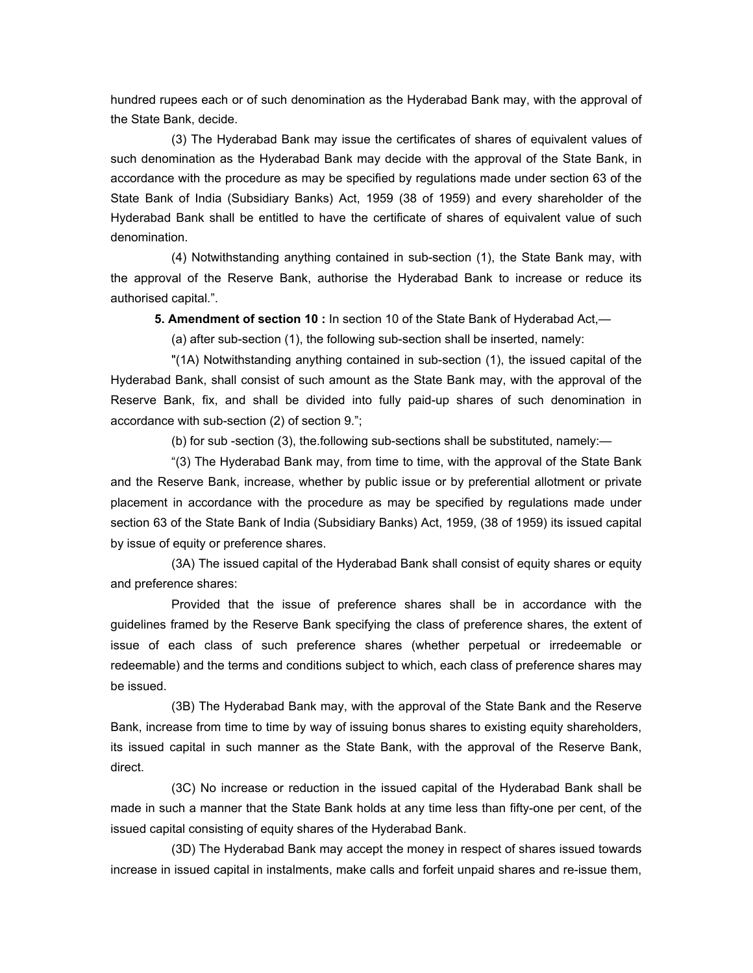hundred rupees each or of such denomination as the Hyderabad Bank may, with the approval of the State Bank, decide.

 (3) The Hyderabad Bank may issue the certificates of shares of equivalent values of such denomination as the Hyderabad Bank may decide with the approval of the State Bank, in accordance with the procedure as may be specified by regulations made under section 63 of the State Bank of India (Subsidiary Banks) Act, 1959 (38 of 1959) and every shareholder of the Hyderabad Bank shall be entitled to have the certificate of shares of equivalent value of such denomination.

 (4) Notwithstanding anything contained in sub-section (1), the State Bank may, with the approval of the Reserve Bank, authorise the Hyderabad Bank to increase or reduce its authorised capital.".

 **5. Amendment of section 10 :** In section 10 of the State Bank of Hyderabad Act,—

(a) after sub-section (1), the following sub-section shall be inserted, namely:

 "(1A) Notwithstanding anything contained in sub-section (1), the issued capital of the Hyderabad Bank, shall consist of such amount as the State Bank may, with the approval of the Reserve Bank, fix, and shall be divided into fully paid-up shares of such denomination in accordance with sub-section (2) of section 9.";

(b) for sub -section (3), the.following sub-sections shall be substituted, namely:—

 "(3) The Hyderabad Bank may, from time to time, with the approval of the State Bank and the Reserve Bank, increase, whether by public issue or by preferential allotment or private placement in accordance with the procedure as may be specified by regulations made under section 63 of the State Bank of India (Subsidiary Banks) Act, 1959, (38 of 1959) its issued capital by issue of equity or preference shares.

 (3A) The issued capital of the Hyderabad Bank shall consist of equity shares or equity and preference shares:

 Provided that the issue of preference shares shall be in accordance with the guidelines framed by the Reserve Bank specifying the class of preference shares, the extent of issue of each class of such preference shares (whether perpetual or irredeemable or redeemable) and the terms and conditions subject to which, each class of preference shares may be issued.

 (3B) The Hyderabad Bank may, with the approval of the State Bank and the Reserve Bank, increase from time to time by way of issuing bonus shares to existing equity shareholders, its issued capital in such manner as the State Bank, with the approval of the Reserve Bank, direct.

 (3C) No increase or reduction in the issued capital of the Hyderabad Bank shall be made in such a manner that the State Bank holds at any time less than fifty-one per cent, of the issued capital consisting of equity shares of the Hyderabad Bank.

 (3D) The Hyderabad Bank may accept the money in respect of shares issued towards increase in issued capital in instalments, make calls and forfeit unpaid shares and re-issue them,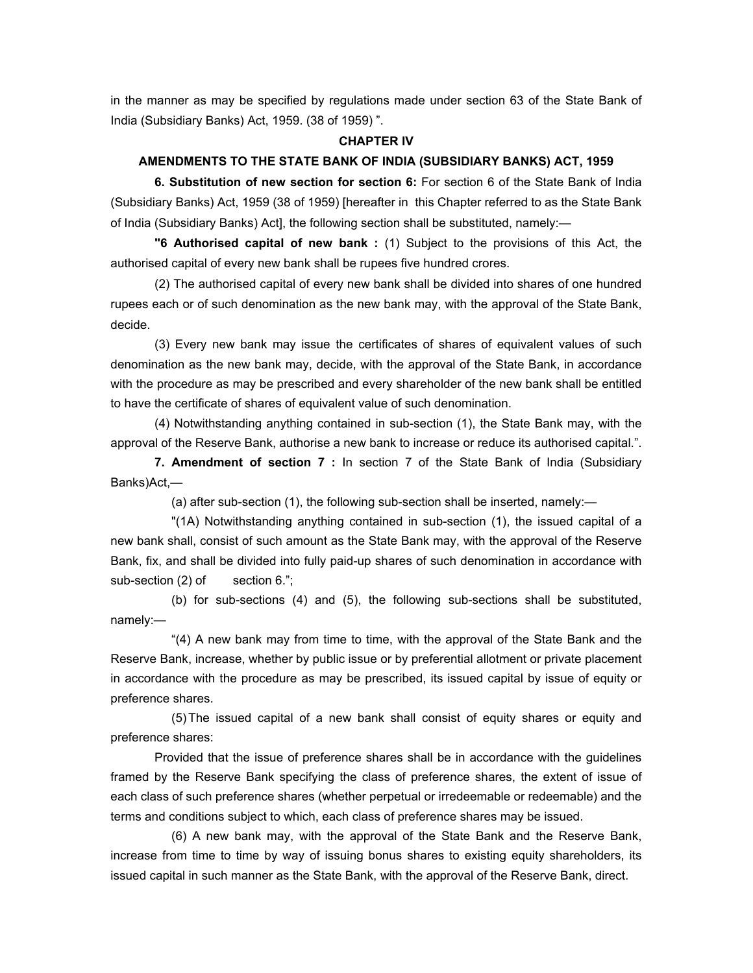in the manner as may be specified by regulations made under section 63 of the State Bank of India (Subsidiary Banks) Act, 1959. (38 of 1959) ".

#### **CHAPTER IV**

#### **AMENDMENTS TO THE STATE BANK OF INDIA (SUBSIDIARY BANKS) ACT, 1959**

**6. Substitution of new section for section 6:** For section 6 of the State Bank of India (Subsidiary Banks) Act, 1959 (38 of 1959) [hereafter in this Chapter referred to as the State Bank of India (Subsidiary Banks) Act], the following section shall be substituted, namely:—

 **"6 Authorised capital of new bank :** (1) Subject to the provisions of this Act, the authorised capital of every new bank shall be rupees five hundred crores.

 (2) The authorised capital of every new bank shall be divided into shares of one hundred rupees each or of such denomination as the new bank may, with the approval of the State Bank, decide.

 (3) Every new bank may issue the certificates of shares of equivalent values of such denomination as the new bank may, decide, with the approval of the State Bank, in accordance with the procedure as may be prescribed and every shareholder of the new bank shall be entitled to have the certificate of shares of equivalent value of such denomination.

 (4) Notwithstanding anything contained in sub-section (1), the State Bank may, with the approval of the Reserve Bank, authorise a new bank to increase or reduce its authorised capital.".

 **7. Amendment of section 7 :** In section 7 of the State Bank of India (Subsidiary Banks)Act,—

(a) after sub-section (1), the following sub-section shall be inserted, namely:—

 "(1A) Notwithstanding anything contained in sub-section (1), the issued capital of a new bank shall, consist of such amount as the State Bank may, with the approval of the Reserve Bank, fix, and shall be divided into fully paid-up shares of such denomination in accordance with sub-section (2) of section 6.";

 (b) for sub-sections (4) and (5), the following sub-sections shall be substituted, namely:—

 "(4) A new bank may from time to time, with the approval of the State Bank and the Reserve Bank, increase, whether by public issue or by preferential allotment or private placement in accordance with the procedure as may be prescribed, its issued capital by issue of equity or preference shares.

 (5) The issued capital of a new bank shall consist of equity shares or equity and preference shares:

 Provided that the issue of preference shares shall be in accordance with the guidelines framed by the Reserve Bank specifying the class of preference shares, the extent of issue of each class of such preference shares (whether perpetual or irredeemable or redeemable) and the terms and conditions subject to which, each class of preference shares may be issued.

 (6) A new bank may, with the approval of the State Bank and the Reserve Bank, increase from time to time by way of issuing bonus shares to existing equity shareholders, its issued capital in such manner as the State Bank, with the approval of the Reserve Bank, direct.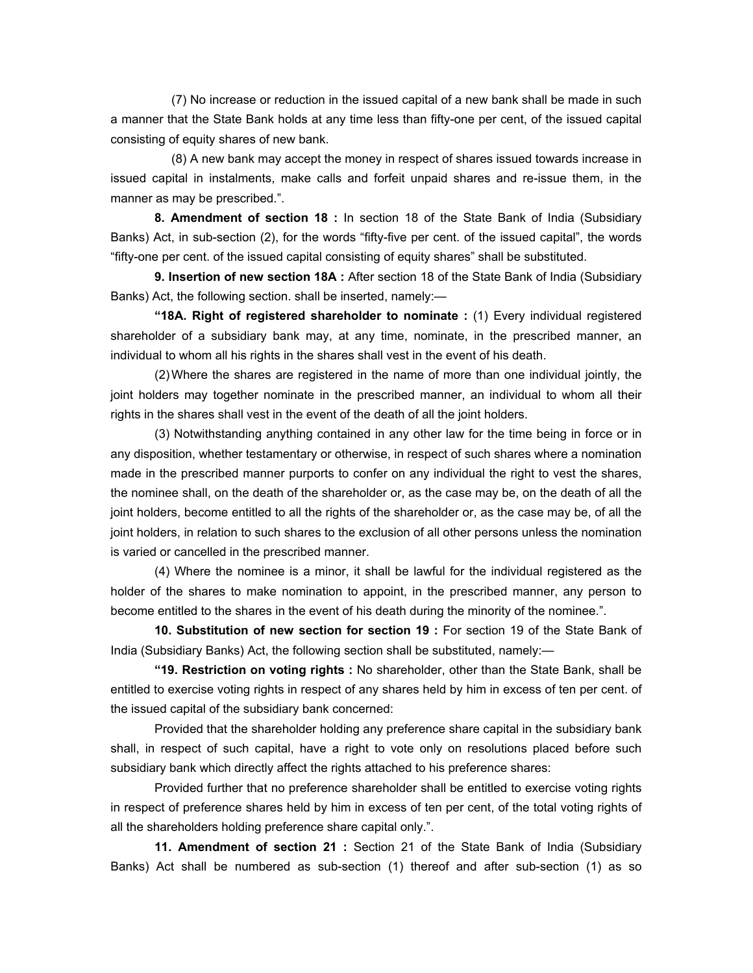(7) No increase or reduction in the issued capital of a new bank shall be made in such a manner that the State Bank holds at any time less than fifty-one per cent, of the issued capital consisting of equity shares of new bank.

 (8) A new bank may accept the money in respect of shares issued towards increase in issued capital in instalments, make calls and forfeit unpaid shares and re-issue them, in the manner as may be prescribed.".

 **8. Amendment of section 18 :** In section 18 of the State Bank of India (Subsidiary Banks) Act, in sub-section (2), for the words "fifty-five per cent. of the issued capital", the words "fifty-one per cent. of the issued capital consisting of equity shares" shall be substituted.

 **9. Insertion of new section 18A :** After section 18 of the State Bank of India (Subsidiary Banks) Act, the following section. shall be inserted, namely:—

 **"18A. Right of registered shareholder to nominate :** (1) Every individual registered shareholder of a subsidiary bank may, at any time, nominate, in the prescribed manner, an individual to whom all his rights in the shares shall vest in the event of his death.

 (2) Where the shares are registered in the name of more than one individual jointly, the joint holders may together nominate in the prescribed manner, an individual to whom all their rights in the shares shall vest in the event of the death of all the joint holders.

 (3) Notwithstanding anything contained in any other law for the time being in force or in any disposition, whether testamentary or otherwise, in respect of such shares where a nomination made in the prescribed manner purports to confer on any individual the right to vest the shares, the nominee shall, on the death of the shareholder or, as the case may be, on the death of all the joint holders, become entitled to all the rights of the shareholder or, as the case may be, of all the joint holders, in relation to such shares to the exclusion of all other persons unless the nomination is varied or cancelled in the prescribed manner.

 (4) Where the nominee is a minor, it shall be lawful for the individual registered as the holder of the shares to make nomination to appoint, in the prescribed manner, any person to become entitled to the shares in the event of his death during the minority of the nominee.".

 **10. Substitution of new section for section 19 :** For section 19 of the State Bank of India (Subsidiary Banks) Act, the following section shall be substituted, namely:—

 **"19. Restriction on voting rights :** No shareholder, other than the State Bank, shall be entitled to exercise voting rights in respect of any shares held by him in excess of ten per cent. of the issued capital of the subsidiary bank concerned:

 Provided that the shareholder holding any preference share capital in the subsidiary bank shall, in respect of such capital, have a right to vote only on resolutions placed before such subsidiary bank which directly affect the rights attached to his preference shares:

 Provided further that no preference shareholder shall be entitled to exercise voting rights in respect of preference shares held by him in excess of ten per cent, of the total voting rights of all the shareholders holding preference share capital only.".

 **11. Amendment of section 21 :** Section 21 of the State Bank of India (Subsidiary Banks) Act shall be numbered as sub-section (1) thereof and after sub-section (1) as so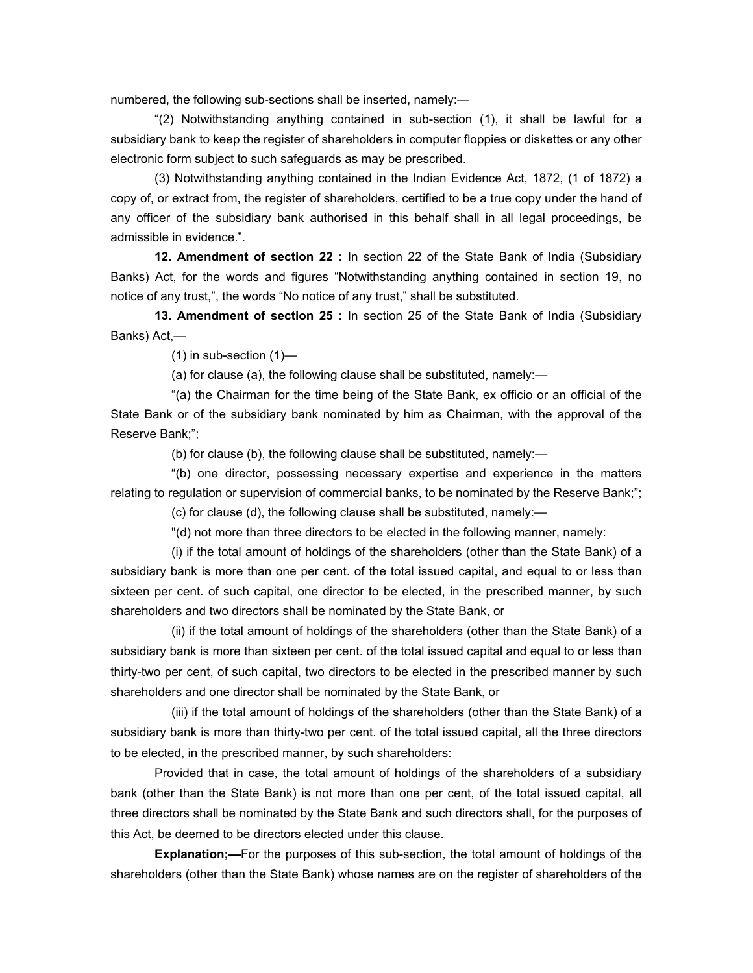numbered, the following sub-sections shall be inserted, namely:—

 "(2) Notwithstanding anything contained in sub-section (1), it shall be lawful for a subsidiary bank to keep the register of shareholders in computer floppies or diskettes or any other electronic form subject to such safeguards as may be prescribed.

 (3) Notwithstanding anything contained in the Indian Evidence Act, 1872, (1 of 1872) a copy of, or extract from, the register of shareholders, certified to be a true copy under the hand of any officer of the subsidiary bank authorised in this behalf shall in all legal proceedings, be admissible in evidence.".

 **12. Amendment of section 22 :** In section 22 of the State Bank of India (Subsidiary Banks) Act, for the words and figures "Notwithstanding anything contained in section 19, no notice of any trust,", the words "No notice of any trust," shall be substituted.

 **13. Amendment of section 25 :** In section 25 of the State Bank of India (Subsidiary Banks) Act,—

 $(1)$  in sub-section  $(1)$ —

(a) for clause (a), the following clause shall be substituted, namely:—

 "(a) the Chairman for the time being of the State Bank, ex officio or an official of the State Bank or of the subsidiary bank nominated by him as Chairman, with the approval of the Reserve Bank;";

(b) for clause (b), the following clause shall be substituted, namely:—

 "(b) one director, possessing necessary expertise and experience in the matters relating to regulation or supervision of commercial banks, to be nominated by the Reserve Bank;";

(c) for clause (d), the following clause shall be substituted, namely:—

"(d) not more than three directors to be elected in the following manner, namely:

 (i) if the total amount of holdings of the shareholders (other than the State Bank) of a subsidiary bank is more than one per cent. of the total issued capital, and equal to or less than sixteen per cent. of such capital, one director to be elected, in the prescribed manner, by such shareholders and two directors shall be nominated by the State Bank, or

 (ii) if the total amount of holdings of the shareholders (other than the State Bank) of a subsidiary bank is more than sixteen per cent. of the total issued capital and equal to or less than thirty-two per cent, of such capital, two directors to be elected in the prescribed manner by such shareholders and one director shall be nominated by the State Bank, or

 (iii) if the total amount of holdings of the shareholders (other than the State Bank) of a subsidiary bank is more than thirty-two per cent. of the total issued capital, all the three directors to be elected, in the prescribed manner, by such shareholders:

 Provided that in case, the total amount of holdings of the shareholders of a subsidiary bank (other than the State Bank) is not more than one per cent, of the total issued capital, all three directors shall be nominated by the State Bank and such directors shall, for the purposes of this Act, be deemed to be directors elected under this clause.

**Explanation;—**For the purposes of this sub-section, the total amount of holdings of the shareholders (other than the State Bank) whose names are on the register of shareholders of the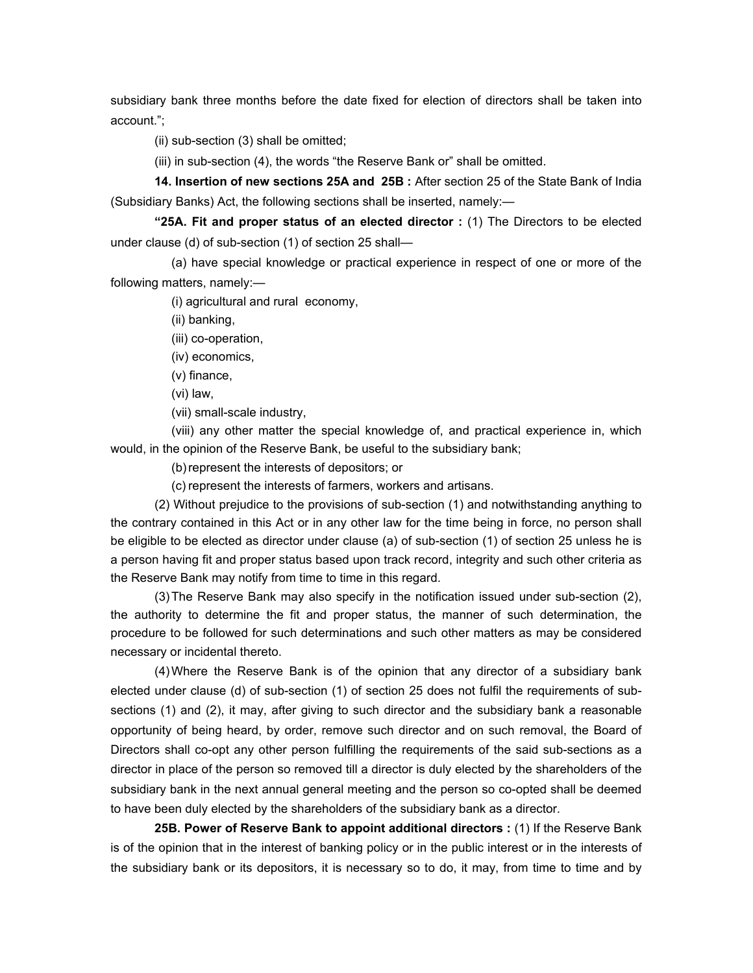subsidiary bank three months before the date fixed for election of directors shall be taken into account.";

(ii) sub-section (3) shall be omitted;

(iii) in sub-section (4), the words "the Reserve Bank or" shall be omitted.

 **14. Insertion of new sections 25A and 25B :** After section 25 of the State Bank of India (Subsidiary Banks) Act, the following sections shall be inserted, namely:—

 **"25A. Fit and proper status of an elected director :** (1) The Directors to be elected under clause (d) of sub-section (1) of section 25 shall—

 (a) have special knowledge or practical experience in respect of one or more of the following matters, namely:—

(i) agricultural and rural economy,

(ii) banking,

(iii) co-operation,

(iv) economics,

(v) finance,

(vi) law,

(vii) small-scale industry,

 (viii) any other matter the special knowledge of, and practical experience in, which would, in the opinion of the Reserve Bank, be useful to the subsidiary bank;

(b) represent the interests of depositors; or

(c) represent the interests of farmers, workers and artisans.

 (2) Without prejudice to the provisions of sub-section (1) and notwithstanding anything to the contrary contained in this Act or in any other law for the time being in force, no person shall be eligible to be elected as director under clause (a) of sub-section (1) of section 25 unless he is a person having fit and proper status based upon track record, integrity and such other criteria as the Reserve Bank may notify from time to time in this regard.

 (3) The Reserve Bank may also specify in the notification issued under sub-section (2), the authority to determine the fit and proper status, the manner of such determination, the procedure to be followed for such determinations and such other matters as may be considered necessary or incidental thereto.

 (4) Where the Reserve Bank is of the opinion that any director of a subsidiary bank elected under clause (d) of sub-section (1) of section 25 does not fulfil the requirements of subsections (1) and (2), it may, after giving to such director and the subsidiary bank a reasonable opportunity of being heard, by order, remove such director and on such removal, the Board of Directors shall co-opt any other person fulfilling the requirements of the said sub-sections as a director in place of the person so removed till a director is duly elected by the shareholders of the subsidiary bank in the next annual general meeting and the person so co-opted shall be deemed to have been duly elected by the shareholders of the subsidiary bank as a director.

 **25B. Power of Reserve Bank to appoint additional directors :** (1) If the Reserve Bank is of the opinion that in the interest of banking policy or in the public interest or in the interests of the subsidiary bank or its depositors, it is necessary so to do, it may, from time to time and by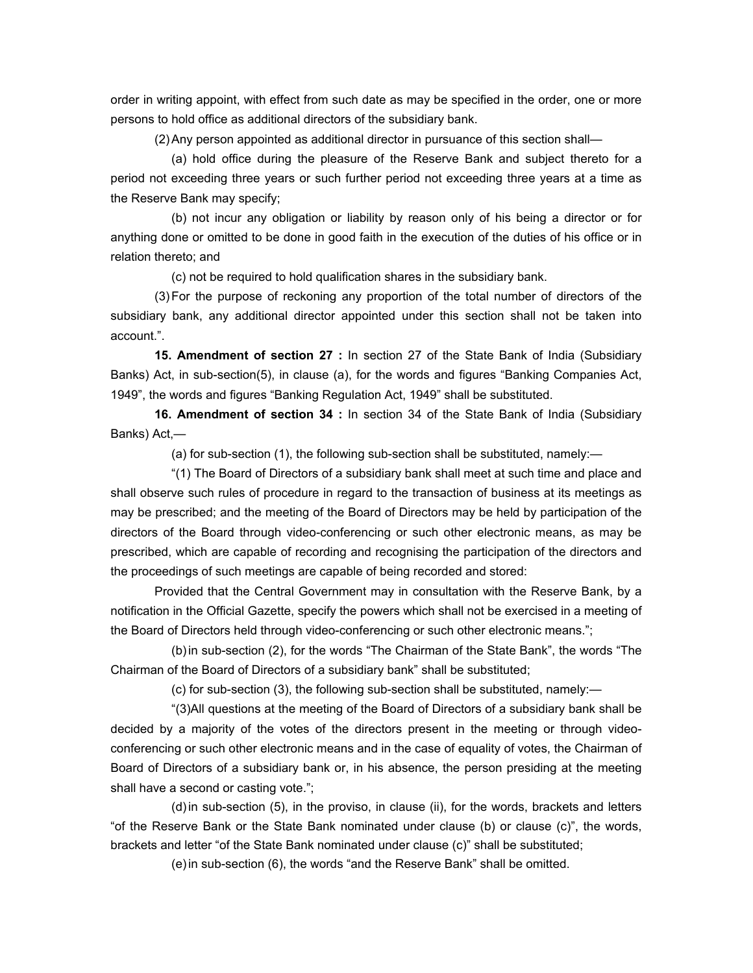order in writing appoint, with effect from such date as may be specified in the order, one or more persons to hold office as additional directors of the subsidiary bank.

(2) Any person appointed as additional director in pursuance of this section shall—

 (a) hold office during the pleasure of the Reserve Bank and subject thereto for a period not exceeding three years or such further period not exceeding three years at a time as the Reserve Bank may specify;

 (b) not incur any obligation or liability by reason only of his being a director or for anything done or omitted to be done in good faith in the execution of the duties of his office or in relation thereto; and

(c) not be required to hold qualification shares in the subsidiary bank.

 (3) For the purpose of reckoning any proportion of the total number of directors of the subsidiary bank, any additional director appointed under this section shall not be taken into account.".

 **15. Amendment of section 27 :** In section 27 of the State Bank of India (Subsidiary Banks) Act, in sub-section(5), in clause (a), for the words and figures "Banking Companies Act, 1949", the words and figures "Banking Regulation Act, 1949" shall be substituted.

 **16. Amendment of section 34 :** In section 34 of the State Bank of India (Subsidiary Banks) Act,—

(a) for sub-section (1), the following sub-section shall be substituted, namely:—

 "(1) The Board of Directors of a subsidiary bank shall meet at such time and place and shall observe such rules of procedure in regard to the transaction of business at its meetings as may be prescribed; and the meeting of the Board of Directors may be held by participation of the directors of the Board through video-conferencing or such other electronic means, as may be prescribed, which are capable of recording and recognising the participation of the directors and the proceedings of such meetings are capable of being recorded and stored:

 Provided that the Central Government may in consultation with the Reserve Bank, by a notification in the Official Gazette, specify the powers which shall not be exercised in a meeting of the Board of Directors held through video-conferencing or such other electronic means.";

 (b) in sub-section (2), for the words "The Chairman of the State Bank", the words "The Chairman of the Board of Directors of a subsidiary bank" shall be substituted;

(c) for sub-section (3), the following sub-section shall be substituted, namely:—

 "(3)All questions at the meeting of the Board of Directors of a subsidiary bank shall be decided by a majority of the votes of the directors present in the meeting or through videoconferencing or such other electronic means and in the case of equality of votes, the Chairman of Board of Directors of a subsidiary bank or, in his absence, the person presiding at the meeting shall have a second or casting vote.";

 (d) in sub-section (5), in the proviso, in clause (ii), for the words, brackets and letters "of the Reserve Bank or the State Bank nominated under clause (b) or clause (c)", the words, brackets and letter "of the State Bank nominated under clause (c)" shall be substituted;

(e) in sub-section (6), the words "and the Reserve Bank" shall be omitted.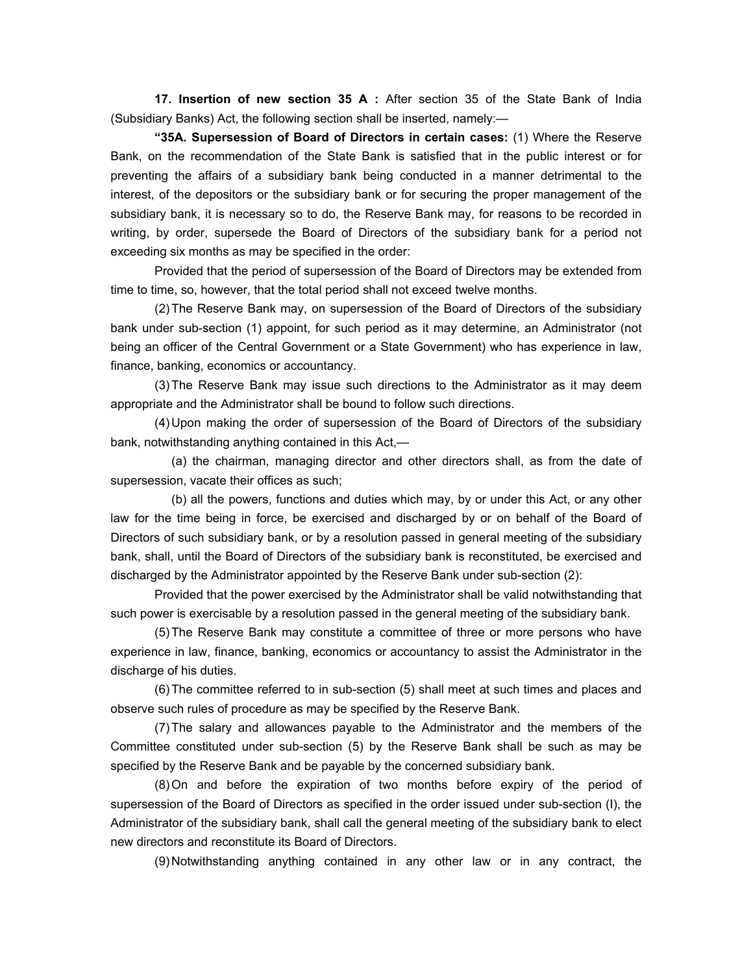**17. Insertion of new section 35 A :** After section 35 of the State Bank of India (Subsidiary Banks) Act, the following section shall be inserted, namely:—

**"35A. Supersession of Board of Directors in certain cases:** (1) Where the Reserve Bank, on the recommendation of the State Bank is satisfied that in the public interest or for preventing the affairs of a subsidiary bank being conducted in a manner detrimental to the interest, of the depositors or the subsidiary bank or for securing the proper management of the subsidiary bank, it is necessary so to do, the Reserve Bank may, for reasons to be recorded in writing, by order, supersede the Board of Directors of the subsidiary bank for a period not exceeding six months as may be specified in the order:

 Provided that the period of supersession of the Board of Directors may be extended from time to time, so, however, that the total period shall not exceed twelve months.

 (2) The Reserve Bank may, on supersession of the Board of Directors of the subsidiary bank under sub-section (1) appoint, for such period as it may determine, an Administrator (not being an officer of the Central Government or a State Government) who has experience in law, finance, banking, economics or accountancy.

 (3) The Reserve Bank may issue such directions to the Administrator as it may deem appropriate and the Administrator shall be bound to follow such directions.

 (4) Upon making the order of supersession of the Board of Directors of the subsidiary bank, notwithstanding anything contained in this Act,—

 (a) the chairman, managing director and other directors shall, as from the date of supersession, vacate their offices as such;

 (b) all the powers, functions and duties which may, by or under this Act, or any other law for the time being in force, be exercised and discharged by or on behalf of the Board of Directors of such subsidiary bank, or by a resolution passed in general meeting of the subsidiary bank, shall, until the Board of Directors of the subsidiary bank is reconstituted, be exercised and discharged by the Administrator appointed by the Reserve Bank under sub-section (2):

 Provided that the power exercised by the Administrator shall be valid notwithstanding that such power is exercisable by a resolution passed in the general meeting of the subsidiary bank.

 (5) The Reserve Bank may constitute a committee of three or more persons who have experience in law, finance, banking, economics or accountancy to assist the Administrator in the discharge of his duties.

 (6) The committee referred to in sub-section (5) shall meet at such times and places and observe such rules of procedure as may be specified by the Reserve Bank.

 (7) The salary and allowances payable to the Administrator and the members of the Committee constituted under sub-section (5) by the Reserve Bank shall be such as may be specified by the Reserve Bank and be payable by the concerned subsidiary bank.

 (8) On and before the expiration of two months before expiry of the period of supersession of the Board of Directors as specified in the order issued under sub-section (I), the Administrator of the subsidiary bank, shall call the general meeting of the subsidiary bank to elect new directors and reconstitute its Board of Directors.

(9) Notwithstanding anything contained in any other law or in any contract, the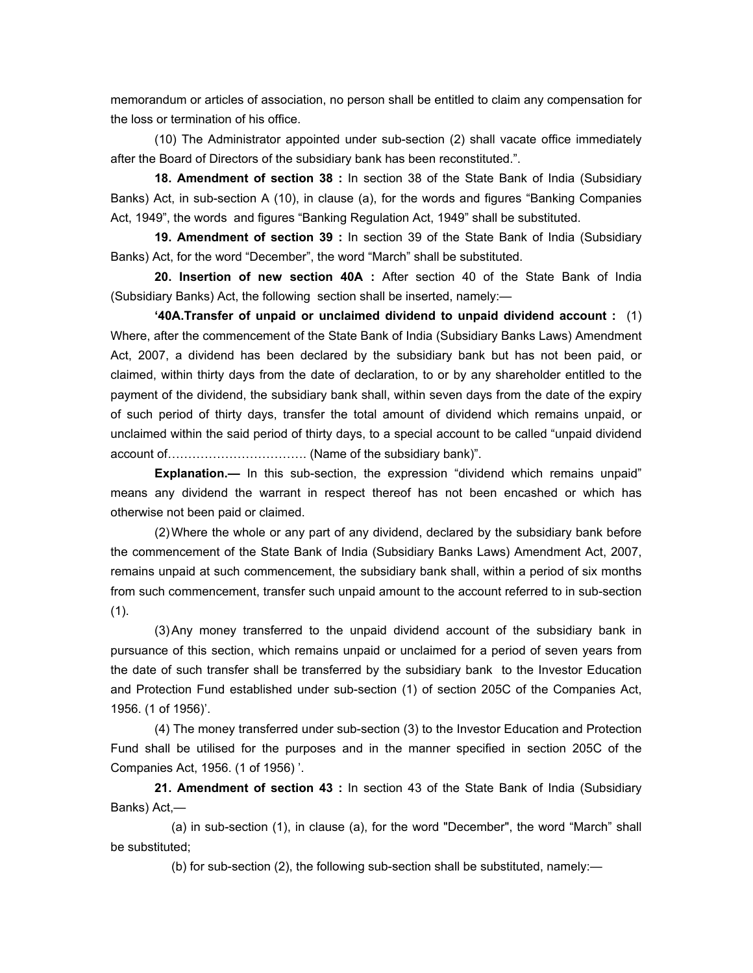memorandum or articles of association, no person shall be entitled to claim any compensation for the loss or termination of his office.

 (10) The Administrator appointed under sub-section (2) shall vacate office immediately after the Board of Directors of the subsidiary bank has been reconstituted.".

 **18. Amendment of section 38 :** In section 38 of the State Bank of India (Subsidiary Banks) Act, in sub-section A (10), in clause (a), for the words and figures "Banking Companies Act, 1949", the words and figures "Banking Regulation Act, 1949" shall be substituted.

 **19. Amendment of section 39 :** In section 39 of the State Bank of India (Subsidiary Banks) Act, for the word "December", the word "March" shall be substituted.

 **20. Insertion of new section 40A :** After section 40 of the State Bank of India (Subsidiary Banks) Act, the following section shall be inserted, namely:—

 **'40A.Transfer of unpaid or unclaimed dividend to unpaid dividend account :** (1) Where, after the commencement of the State Bank of India (Subsidiary Banks Laws) Amendment Act, 2007, a dividend has been declared by the subsidiary bank but has not been paid, or claimed, within thirty days from the date of declaration, to or by any shareholder entitled to the payment of the dividend, the subsidiary bank shall, within seven days from the date of the expiry of such period of thirty days, transfer the total amount of dividend which remains unpaid, or unclaimed within the said period of thirty days, to a special account to be called "unpaid dividend account of……………………………. (Name of the subsidiary bank)".

**Explanation.—** In this sub-section, the expression "dividend which remains unpaid" means any dividend the warrant in respect thereof has not been encashed or which has otherwise not been paid or claimed.

 (2) Where the whole or any part of any dividend, declared by the subsidiary bank before the commencement of the State Bank of India (Subsidiary Banks Laws) Amendment Act, 2007, remains unpaid at such commencement, the subsidiary bank shall, within a period of six months from such commencement, transfer such unpaid amount to the account referred to in sub-section (1).

 (3) Any money transferred to the unpaid dividend account of the subsidiary bank in pursuance of this section, which remains unpaid or unclaimed for a period of seven years from the date of such transfer shall be transferred by the subsidiary bank to the Investor Education and Protection Fund established under sub-section (1) of section 205C of the Companies Act, 1956. (1 of 1956)'.

 (4) The money transferred under sub-section (3) to the Investor Education and Protection Fund shall be utilised for the purposes and in the manner specified in section 205C of the Companies Act, 1956. (1 of 1956) '.

 **21. Amendment of section 43 :** In section 43 of the State Bank of India (Subsidiary Banks) Act,—

 (a) in sub-section (1), in clause (a), for the word "December", the word "March" shall be substituted;

(b) for sub-section (2), the following sub-section shall be substituted, namely:—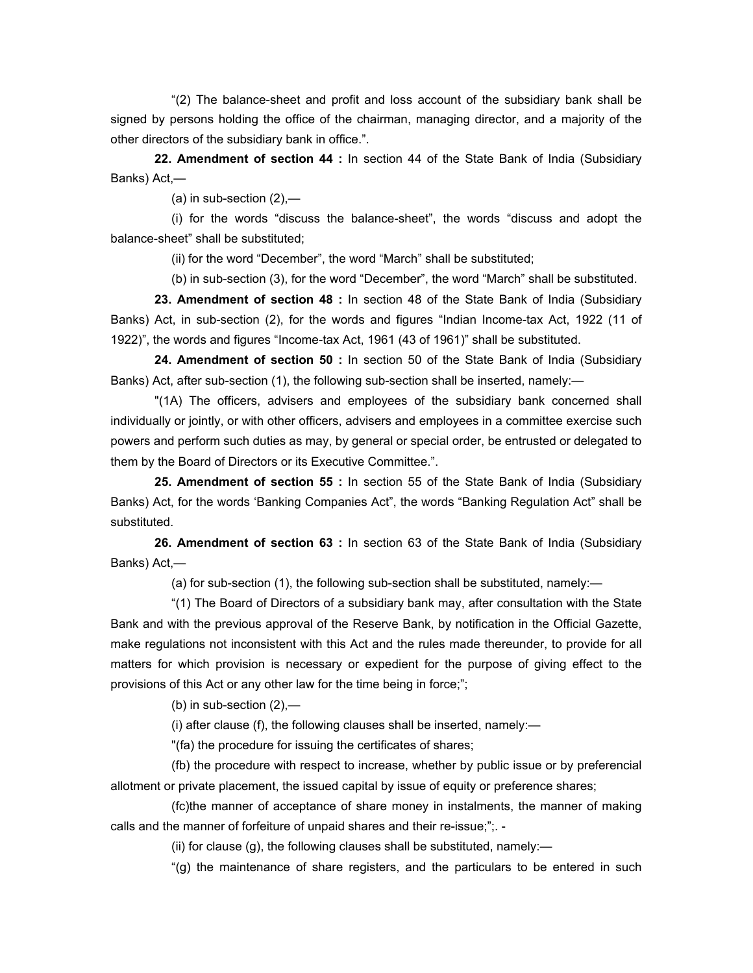"(2) The balance-sheet and profit and loss account of the subsidiary bank shall be signed by persons holding the office of the chairman, managing director, and a majority of the other directors of the subsidiary bank in office.".

 **22. Amendment of section 44 :** In section 44 of the State Bank of India (Subsidiary Banks) Act,—

(a) in sub-section  $(2)$ ,-

 (i) for the words "discuss the balance-sheet", the words "discuss and adopt the balance-sheet" shall be substituted;

(ii) for the word "December", the word "March" shall be substituted;

(b) in sub-section (3), for the word "December", the word "March" shall be substituted.

 **23. Amendment of section 48 :** In section 48 of the State Bank of India (Subsidiary Banks) Act, in sub-section (2), for the words and figures "Indian Income-tax Act, 1922 (11 of 1922)", the words and figures "Income-tax Act, 1961 (43 of 1961)" shall be substituted.

 **24. Amendment of section 50 :** In section 50 of the State Bank of India (Subsidiary Banks) Act, after sub-section (1), the following sub-section shall be inserted, namely:—

 "(1A) The officers, advisers and employees of the subsidiary bank concerned shall individually or jointly, or with other officers, advisers and employees in a committee exercise such powers and perform such duties as may, by general or special order, be entrusted or delegated to them by the Board of Directors or its Executive Committee.".

 **25. Amendment of section 55 :** In section 55 of the State Bank of India (Subsidiary Banks) Act, for the words 'Banking Companies Act", the words "Banking Regulation Act" shall be substituted.

 **26. Amendment of section 63 :** In section 63 of the State Bank of India (Subsidiary Banks) Act,—

(a) for sub-section (1), the following sub-section shall be substituted, namely:—

 "(1) The Board of Directors of a subsidiary bank may, after consultation with the State Bank and with the previous approval of the Reserve Bank, by notification in the Official Gazette, make regulations not inconsistent with this Act and the rules made thereunder, to provide for all matters for which provision is necessary or expedient for the purpose of giving effect to the provisions of this Act or any other law for the time being in force;";

(b) in sub-section  $(2)$ ,—

(i) after clause (f), the following clauses shall be inserted, namely:—

"(fa) the procedure for issuing the certificates of shares;

 (fb) the procedure with respect to increase, whether by public issue or by preferencial allotment or private placement, the issued capital by issue of equity or preference shares;

 (fc)the manner of acceptance of share money in instalments, the manner of making calls and the manner of forfeiture of unpaid shares and their re-issue;";. -

(ii) for clause  $(g)$ , the following clauses shall be substituted, namely:—

"(g) the maintenance of share registers, and the particulars to be entered in such